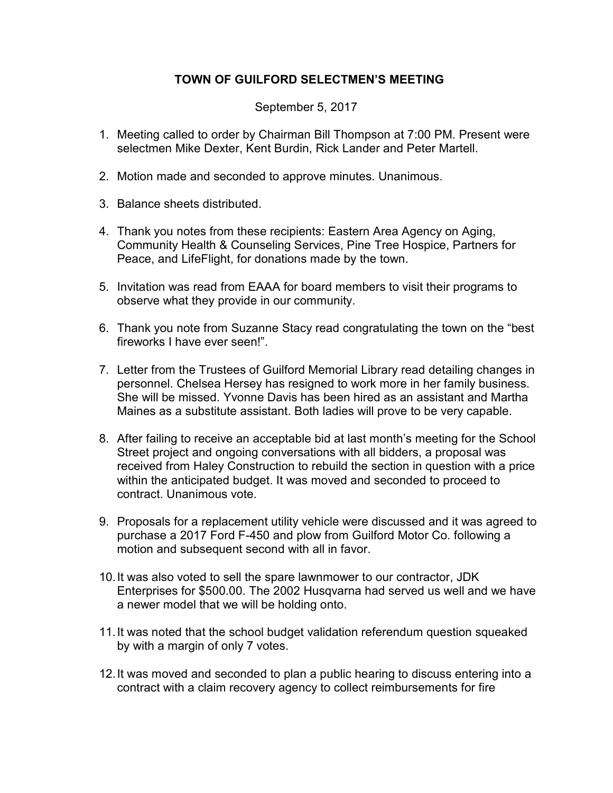## TOWN OF GUILFORD SELECTMEN'S MEETING

September 5, 2017

- 1. Meeting called to order by Chairman Bill Thompson at 7:00 PM. Present were selectmen Mike Dexter, Kent Burdin, Rick Lander and Peter Martell.
- 2. Motion made and seconded to approve minutes. Unanimous.
- 3. Balance sheets distributed.
- 4. Thank you notes from these recipients: Eastern Area Agency on Aging, Community Health & Counseling Services, Pine Tree Hospice, Partners for Peace, and LifeFlight, for donations made by the town.
- 5. Invitation was read from EAAA for board members to visit their programs to observe what they provide in our community.
- 6. Thank you note from Suzanne Stacy read congratulating the town on the "best fireworks I have ever seen!".
- 7. Letter from the Trustees of Guilford Memorial Library read detailing changes in personnel. Chelsea Hersey has resigned to work more in her family business. She will be missed. Yvonne Davis has been hired as an assistant and Martha Maines as a substitute assistant. Both ladies will prove to be very capable.
- 8. After failing to receive an acceptable bid at last month's meeting for the School Street project and ongoing conversations with all bidders, a proposal was received from Haley Construction to rebuild the section in question with a price within the anticipated budget. It was moved and seconded to proceed to contract. Unanimous vote.
- 9. Proposals for a replacement utility vehicle were discussed and it was agreed to purchase a 2017 Ford F-450 and plow from Guilford Motor Co. following a motion and subsequent second with all in favor.
- 10. It was also voted to sell the spare lawnmower to our contractor, JDK Enterprises for \$500.00. The 2002 Husqvarna had served us well and we have a newer model that we will be holding onto.
- 11. It was noted that the school budget validation referendum question squeaked by with a margin of only 7 votes.
- 12. It was moved and seconded to plan a public hearing to discuss entering into a contract with a claim recovery agency to collect reimbursements for fire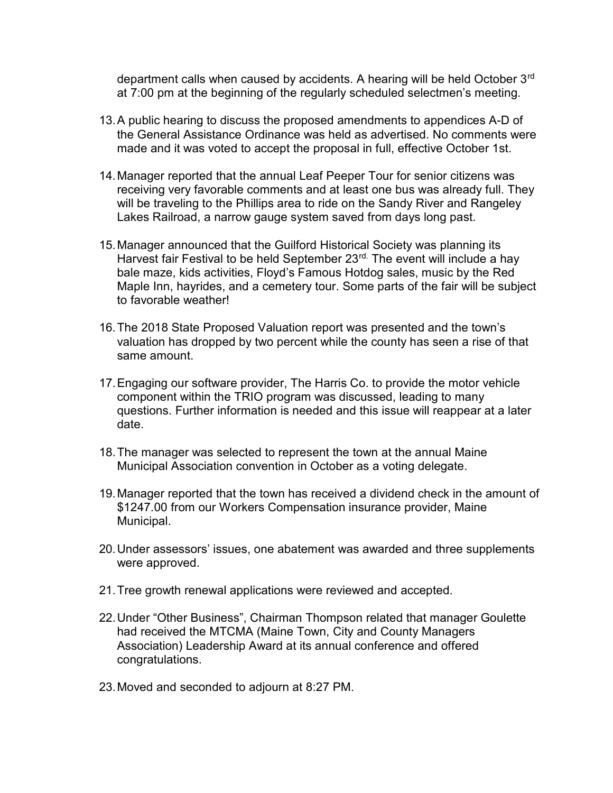department calls when caused by accidents. A hearing will be held October 3<sup>rd</sup> at 7:00 pm at the beginning of the regularly scheduled selectmen's meeting.

- 13. A public hearing to discuss the proposed amendments to appendices A-D of the General Assistance Ordinance was held as advertised. No comments were made and it was voted to accept the proposal in full, effective October 1st.
- 14. Manager reported that the annual Leaf Peeper Tour for senior citizens was receiving very favorable comments and at least one bus was already full. They will be traveling to the Phillips area to ride on the Sandy River and Rangeley Lakes Railroad, a narrow gauge system saved from days long past.
- 15. Manager announced that the Guilford Historical Society was planning its Harvest fair Festival to be held September 23<sup>rd.</sup> The event will include a hay bale maze, kids activities, Floyd's Famous Hotdog sales, music by the Red Maple Inn, hayrides, and a cemetery tour. Some parts of the fair will be subject to favorable weather!
- 16. The 2018 State Proposed Valuation report was presented and the town's valuation has dropped by two percent while the county has seen a rise of that same amount.
- 17. Engaging our software provider, The Harris Co. to provide the motor vehicle component within the TRIO program was discussed, leading to many questions. Further information is needed and this issue will reappear at a later date.
- 18. The manager was selected to represent the town at the annual Maine Municipal Association convention in October as a voting delegate.
- 19. Manager reported that the town has received a dividend check in the amount of \$1247.00 from our Workers Compensation insurance provider, Maine Municipal.
- 20. Under assessors' issues, one abatement was awarded and three supplements were approved.
- 21. Tree growth renewal applications were reviewed and accepted.
- 22. Under "Other Business", Chairman Thompson related that manager Goulette had received the MTCMA (Maine Town, City and County Managers Association) Leadership Award at its annual conference and offered congratulations.
- 23. Moved and seconded to adjourn at 8:27 PM.